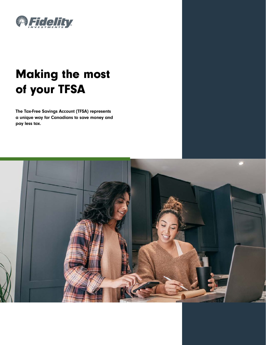

# Making the most of your TFSA

The Tax-Free Savings Account (TFSA) represents a unique way for Canadians to save money and pay less tax.

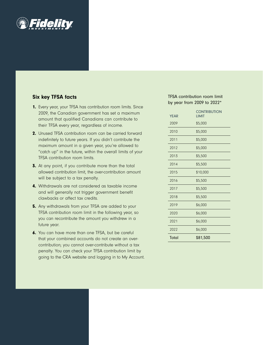

# Six key TFSA facts

- 1. Every year, your TFSA has contribution room limits. Since 2009, the Canadian government has set a maximum amount that qualified Canadians can contribute to their TFSA every year, regardless of income.
- 2. Unused TFSA contribution room can be carried forward indefinitely to future years. If you didn't contribute the maximum amount in a given year, you're allowed to "catch up" in the future, within the overall limits of your TFSA contribution room limits.
- **3.** At any point, if you contribute more than the total allowed contribution limit, the over-contribution amount will be subject to a tax penalty.
- 4. Withdrawals are not considered as taxable income and will generally not trigger government benefit clawbacks or affect tax credits.
- **5.** Any withdrawals from your TFSA are added to your TFSA contribution room limit in the following year, so you can recontribute the amount you withdrew in a future year.
- 6. You can have more than one TFSA, but be careful that your combined accounts do not create an overcontribution; you cannot over-contribute without a tax penalty. You can check your TFSA contribution limit by going to the CRA website and logging in to My Account.

## TFSA contribution room limit by year from 2009 to 2022\*

| YEAR  | <b>CONTRIBUTION</b><br><b>IIMIT</b> |
|-------|-------------------------------------|
| 2009  | \$5,000                             |
| 2010  | \$5,000                             |
| 2011  | \$5,000                             |
| 2012  | \$5,000                             |
| 2013  | \$5,500                             |
| 2014  | \$5,500                             |
| 2015  | \$10,000                            |
| 2016  | \$5,500                             |
| 2017  | \$5,500                             |
| 2018  | \$5,500                             |
| 2019  | \$6,000                             |
| 2020  | \$6,000                             |
| 2021  | \$6,000                             |
| 2022  | \$6,000                             |
| Total | \$81,500                            |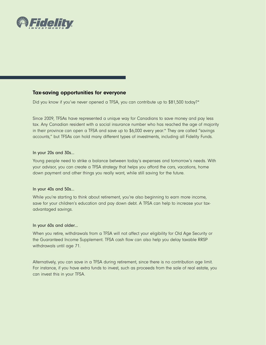

# Tax-saving opportunities for everyone

Did you know if you've never opened a TFSA, you can contribute up to \$81,500 today?\*

Since 2009, TFSAs have represented a unique way for Canadians to save money and pay less tax. Any Canadian resident with a social insurance number who has reached the age of majority in their province can open a TFSA and save up to \$6,000 every year.\* They are called "savings accounts," but TFSAs can hold many different types of investments, including all Fidelity Funds.

#### In your 20s and 30s…

Young people need to strike a balance between today's expenses and tomorrow's needs. With your advisor, you can create a TFSA strategy that helps you afford the cars, vacations, home down payment and other things you really want, while still saving for the future.

#### In your 40s and 50s…

While you're starting to think about retirement, you're also beginning to earn more income, save for your children's education and pay down debt. A TFSA can help to increase your taxadvantaged savings.

### In your 60s and older…

When you retire, withdrawals from a TFSA will not affect your eligibility for Old Age Security or the Guaranteed Income Supplement. TFSA cash flow can also help you delay taxable RRSP withdrawals until age 71.

Alternatively, you can save in a TFSA during retirement, since there is no contribution age limit. For instance, if you have extra funds to invest, such as proceeds from the sale of real estate, you can invest this in your TFSA.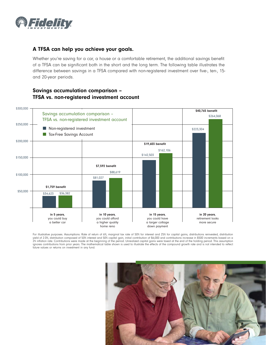

# A TFSA can help you achieve your goals.

Whether you're saving for a car, a house or a comfortable retirement, the additional savings benefit of a TFSA can be significant both in the short and the long term. The following table illustrates the difference between savings in a TFSA compared with non-registered investment over five-, ten-, 15 and 20-year periods.

# Savings accumulation comparison – TFSA vs. non-registered investment account



For illustrative purposes. Assumptions: Rate of return of 6%, marginal tax rate of 50% for interest and 25% for capital gains, distributions reinvested, distribution yield of 2.0%, distribution composed of 50% interest and 50% capital gain, initial contribution of \$6,000 and contributions increase in \$500 increments based on a 2% inflation rate. Contributions were made at the beginning of the period. Unrealized capital gains were taxed at the end of the holding period. This assumption ignores contributions from prior years. The mathematical table shown is used to illustrate the effects of the compound growth rate and is not intended to reflect future values or returns on investment in any fund.

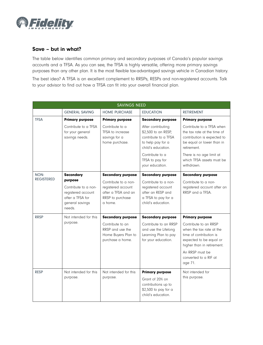

# Save – but in what?

The table below identifies common primary and secondary purposes of Canada's popular savings accounts and a TFSA. As you can see, the TFSA is highly versatile, offering more primary savings purposes than any other plan. It is the most flexible tax-advantaged savings vehicle in Canadian history. The best idea? A TFSA is an excellent complement to RRSPs, RESPs and non-registered accounts. Talk to your advisor to find out how a TFSA can fit into your overall financial plan.

| <b>SAVINGS NEED</b> |                                                                                                        |                                                                                                             |                                                                                                                          |                                                                                                                                                                                                                        |  |
|---------------------|--------------------------------------------------------------------------------------------------------|-------------------------------------------------------------------------------------------------------------|--------------------------------------------------------------------------------------------------------------------------|------------------------------------------------------------------------------------------------------------------------------------------------------------------------------------------------------------------------|--|
|                     | <b>GENERAL SAVING</b>                                                                                  | <b>HOME PURCHASE</b>                                                                                        | <b>EDUCATION</b>                                                                                                         | <b>RETIREMENT</b>                                                                                                                                                                                                      |  |
| <b>TFSA</b>         | <b>Primary purpose</b>                                                                                 | <b>Primary purpose</b>                                                                                      | <b>Secondary purpose</b>                                                                                                 | <b>Primary purpose</b>                                                                                                                                                                                                 |  |
|                     | Contribute to a TFSA<br>for your general<br>savings needs.                                             | Contribute to a<br>TFSA to increase<br>savings for a<br>home purchase.                                      | After contributing<br>\$2,500 to an RESP,<br>contribute to a TFSA<br>to help pay for a<br>child's education.             | Contribute to a TFSA when<br>the tax rate at the time of<br>contribution is expected to<br>be equal or lower than in<br>retirement.                                                                                    |  |
|                     |                                                                                                        |                                                                                                             | Contribute to a<br>TFSA to pay for<br>your education.                                                                    | There is no age limit at<br>which TFSA assets must be<br>withdrawn.                                                                                                                                                    |  |
| NON-                | <b>Secondary</b>                                                                                       | <b>Secondary purpose</b>                                                                                    | <b>Secondary purpose</b>                                                                                                 | <b>Secondary purpose</b>                                                                                                                                                                                               |  |
| <b>REGISTERED</b>   | purpose<br>Contribute to a non-<br>registered account<br>after a TFSA for<br>general savings<br>needs. | Contribute to a non-<br>registered account<br>after a TFSA and an<br>RRSP to purchase<br>a home.            | Contribute to a non-<br>registered account<br>after an RESP and<br>a TFSA to pay for a<br>child's education.             | Contribute to a non-<br>registered account after an<br>RRSP and a TFSA.                                                                                                                                                |  |
| <b>RRSP</b>         | Not intended for this<br>purpose.                                                                      | <b>Secondary purpose</b><br>Contribute to an<br>RRSP and use the<br>Home Buyers Plan to<br>purchase a home. | <b>Secondary purpose</b><br>Contribute to an RRSP<br>and use the Lifelong<br>Learning Plan to pay<br>for your education. | <b>Primary purpose</b><br>Contribute to an RRSP<br>when the tax rate at the<br>time of contribution is<br>expected to be equal or<br>higher than in retirement.<br>An RRSP must be<br>converted to a RIF at<br>age 71. |  |
| <b>RESP</b>         | Not intended for this<br>purpose.                                                                      | Not intended for this<br>purpose.                                                                           | <b>Primary purpose</b><br>Grant of 20% on<br>contributions up to<br>\$2,500 to pay for a<br>child's education.           | Not intended for<br>this purpose.                                                                                                                                                                                      |  |